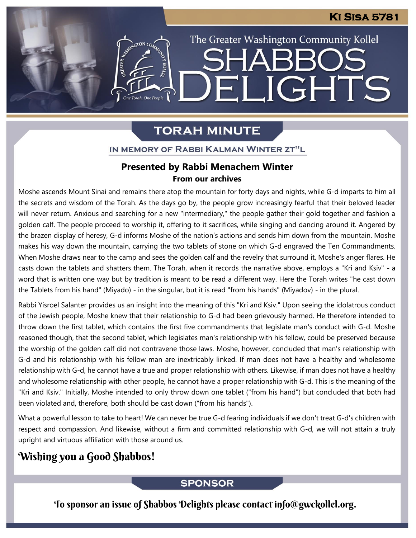### **Ki Sisa 5781**

The Greater Washington Community Kollel

ELIGHTS

SHARR(

# **TORAH MINUTE**

IN MEMORY OF RABBI KALMAN WINTER ZT"L

**ANTERNATION CON** 

One Torah, One People

# **Presented by Rabbi Menachem Winter<br>From our archives**

Moshe ascends Mount Sinai and remains there atop the mountain for forty days and nights, while G-d imparts to him all the secrets and wisdom of the Torah. As the days go by, the people grow increasingly fearful that their beloved leader will never return. Anxious and searching for a new "intermediary," the people gather their gold together and fashion a golden calf. The people proceed to worship it, offering to it sacrifices, while singing and dancing around it. Angered by the brazen display of heresy, G-d informs Moshe of the nation's actions and sends him down from the mountain. Moshe makes his way down the mountain, carrying the two tablets of stone on which G-d engraved the Ten Commandments. When Moshe draws near to the camp and sees the golden calf and the revelry that surround it, Moshe's anger flares. He casts down the tablets and shatters them. The Torah, when it records the narrative above, employs a "Kri and Ksiv" - a word that is written one way but by tradition is meant to be read a different way. Here the Torah writes "he cast down the Tablets from his hand" (Miyado) - in the singular, but it is read "from his hands" (Miyadov) - in the plural.

Rabbi Yisroel Salanter provides us an insight into the meaning of this "Kri and Ksiv." Upon seeing the idolatrous conduct of the Jewish people, Moshe knew that their relationship to G-d had been grievously harmed. He therefore intended to throw down the first tablet, which contains the first five commandments that legislate man's conduct with G-d. Moshe reasoned though, that the second tablet, which legislates man's relationship with his fellow, could be preserved because the worship of the golden calf did not contravene those laws. Moshe, however, concluded that man's relationship with G-d and his relationship with his fellow man are inextricably linked. If man does not have a healthy and wholesome relationship with G-d, he cannot have a true and proper relationship with others. Likewise, if man does not have a healthy and wholesome relationship with other people, he cannot have a proper relationship with G-d. This is the meaning of the "Kri and Ksiv." Initially, Moshe intended to only throw down one tablet ("from his hand") but concluded that both had been violated and, therefore, both should be cast down ("from his hands").

What a powerful lesson to take to heart! We can never be true G-d fearing individuals if we don't treat G-d's children with respect and compassion. And likewise, without a firm and committed relationship with G-d, we will not attain a truly upright and virtuous affiliation with those around us.

# Wishing you a Good Shabbos!

#### **SPONSOR**

To sponsor an issue of Shabbos Delights please contact info@gwckollel.org.